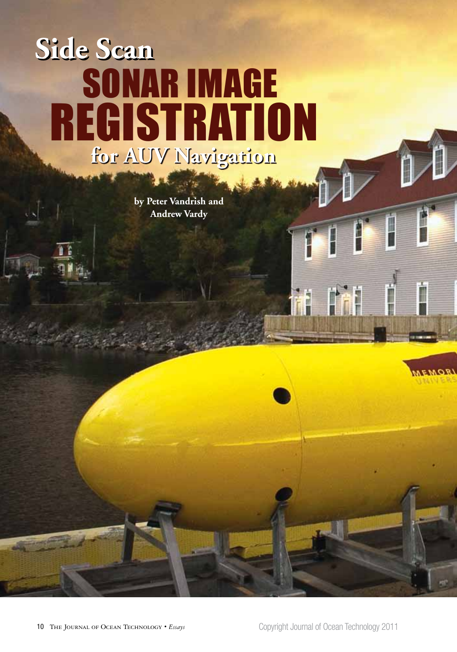# **Side Scan Side Scan for AUV Navigation for AUV Navigation** SONAR IMAGE REGISTRATION

**by Peter Vandrish and Andrew Vardy**



 $\mathsf{P}^{\mathsf{r}}$ 

I

İ

**LROM3A** 

ł

**PAF** 

1

Ħ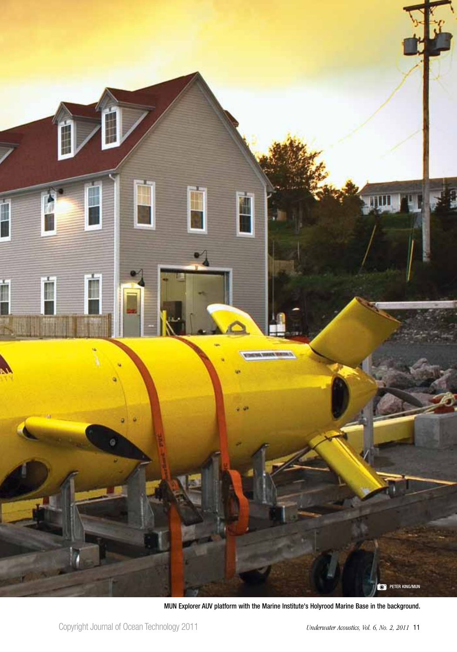

MUN Explorer AUV platform with the Marine Institute's Holyrood Marine Base in the background.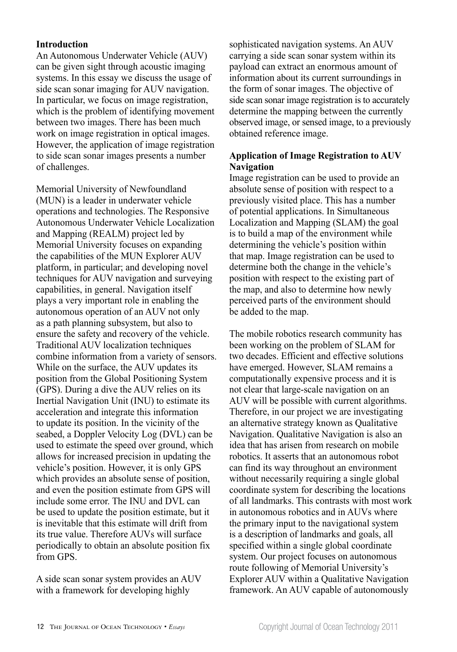# **Introduction**

An Autonomous Underwater Vehicle (AUV) can be given sight through acoustic imaging systems. In this essay we discuss the usage of side scan sonar imaging for AUV navigation. In particular, we focus on image registration, which is the problem of identifying movement between two images. There has been much work on image registration in optical images. However, the application of image registration to side scan sonar images presents a number of challenges.

Memorial University of Newfoundland (MUN) is a leader in underwater vehicle operations and technologies. The Responsive Autonomous Underwater Vehicle Localization and Mapping (REALM) project led by Memorial University focuses on expanding the capabilities of the MUN Explorer AUV platform, in particular; and developing novel techniques for AUV navigation and surveying capabilities, in general. Navigation itself plays a very important role in enabling the autonomous operation of an AUV not only as a path planning subsystem, but also to ensure the safety and recovery of the vehicle. Traditional AUV localization techniques combine information from a variety of sensors. While on the surface, the AUV updates its position from the Global Positioning System (GPS). During a dive the AUV relies on its Inertial Navigation Unit (INU) to estimate its acceleration and integrate this information to update its position. In the vicinity of the seabed, a Doppler Velocity Log (DVL) can be used to estimate the speed over ground, which allows for increased precision in updating the vehicle's position. However, it is only GPS which provides an absolute sense of position, and even the position estimate from GPS will include some error. The INU and DVL can be used to update the position estimate, but it is inevitable that this estimate will drift from its true value. Therefore AUVs will surface periodically to obtain an absolute position fix from GPS.

A side scan sonar system provides an AUV with a framework for developing highly

sophisticated navigation systems. An AUV carrying a side scan sonar system within its payload can extract an enormous amount of information about its current surroundings in the form of sonar images. The objective of side scan sonar image registration is to accurately determine the mapping between the currently observed image, or sensed image, to a previously obtained reference image.

# **Application of Image Registration to AUV Navigation**

Image registration can be used to provide an absolute sense of position with respect to a previously visited place. This has a number of potential applications. In Simultaneous Localization and Mapping (SLAM) the goal is to build a map of the environment while determining the vehicle's position within that map. Image registration can be used to determine both the change in the vehicle's position with respect to the existing part of the map, and also to determine how newly perceived parts of the environment should be added to the map.

The mobile robotics research community has been working on the problem of SLAM for two decades. Efficient and effective solutions have emerged. However, SLAM remains a computationally expensive process and it is not clear that large-scale navigation on an AUV will be possible with current algorithms. Therefore, in our project we are investigating an alternative strategy known as Qualitative Navigation. Qualitative Navigation is also an idea that has arisen from research on mobile robotics. It asserts that an autonomous robot can find its way throughout an environment without necessarily requiring a single global coordinate system for describing the locations of all landmarks. This contrasts with most work in autonomous robotics and in AUVs where the primary input to the navigational system is a description of landmarks and goals, all specified within a single global coordinate system. Our project focuses on autonomous route following of Memorial University's Explorer AUV within a Qualitative Navigation framework. An AUV capable of autonomously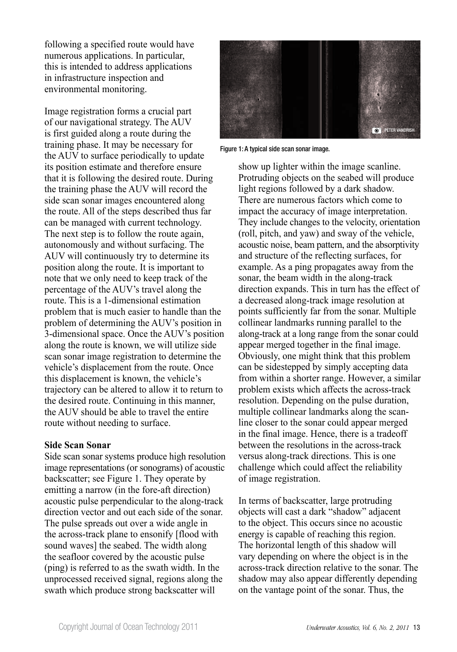following a specified route would have numerous applications. In particular, this is intended to address applications in infrastructure inspection and environmental monitoring.

Image registration forms a crucial part of our navigational strategy. The AUV is first guided along a route during the training phase. It may be necessary for the AUV to surface periodically to update its position estimate and therefore ensure that it is following the desired route. During the training phase the AUV will record the side scan sonar images encountered along the route. All of the steps described thus far can be managed with current technology. The next step is to follow the route again, autonomously and without surfacing. The AUV will continuously try to determine its position along the route. It is important to note that we only need to keep track of the percentage of the AUV's travel along the route. This is a 1-dimensional estimation problem that is much easier to handle than the problem of determining the AUV's position in 3-dimensional space. Once the AUV's position along the route is known, we will utilize side scan sonar image registration to determine the vehicle's displacement from the route. Once this displacement is known, the vehicle's trajectory can be altered to allow it to return to the desired route. Continuing in this manner, the AUV should be able to travel the entire route without needing to surface.

# **Side Scan Sonar**

Side scan sonar systems produce high resolution image representations (or sonograms) of acoustic backscatter; see Figure 1. They operate by emitting a narrow (in the fore-aft direction) acoustic pulse perpendicular to the along-track direction vector and out each side of the sonar. The pulse spreads out over a wide angle in the across-track plane to ensonify [flood with sound waves] the seabed. The width along the seafloor covered by the acoustic pulse (ping) is referred to as the swath width. In the unprocessed received signal, regions along the swath which produce strong backscatter will



Figure 1: A typical side scan sonar image.

show up lighter within the image scanline. Protruding objects on the seabed will produce light regions followed by a dark shadow. There are numerous factors which come to impact the accuracy of image interpretation. They include changes to the velocity, orientation (roll, pitch, and yaw) and sway of the vehicle, acoustic noise, beam pattern, and the absorptivity and structure of the reflecting surfaces, for example. As a ping propagates away from the sonar, the beam width in the along-track direction expands. This in turn has the effect of a decreased along-track image resolution at points sufficiently far from the sonar. Multiple collinear landmarks running parallel to the along-track at a long range from the sonar could appear merged together in the final image. Obviously, one might think that this problem can be sidestepped by simply accepting data from within a shorter range. However, a similar problem exists which affects the across-track resolution. Depending on the pulse duration, multiple collinear landmarks along the scanline closer to the sonar could appear merged in the final image. Hence, there is a tradeoff between the resolutions in the across-track versus along-track directions. This is one challenge which could affect the reliability of image registration.

In terms of backscatter, large protruding objects will cast a dark "shadow" adjacent to the object. This occurs since no acoustic energy is capable of reaching this region. The horizontal length of this shadow will vary depending on where the object is in the across-track direction relative to the sonar. The shadow may also appear differently depending on the vantage point of the sonar. Thus, the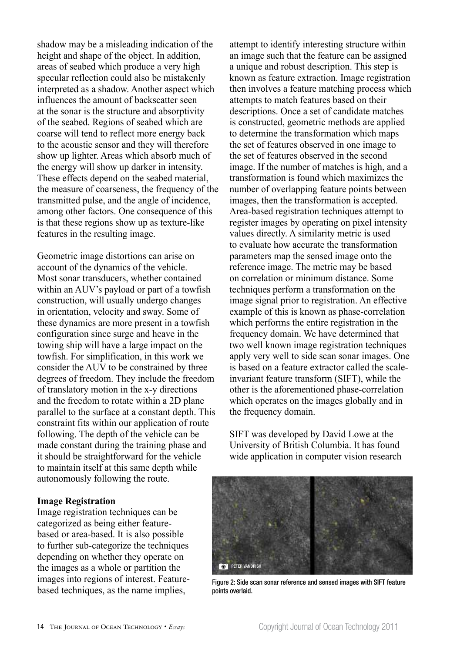shadow may be a misleading indication of the height and shape of the object. In addition, areas of seabed which produce a very high specular reflection could also be mistakenly interpreted as a shadow. Another aspect which influences the amount of backscatter seen at the sonar is the structure and absorptivity of the seabed. Regions of seabed which are coarse will tend to reflect more energy back to the acoustic sensor and they will therefore show up lighter. Areas which absorb much of the energy will show up darker in intensity. These effects depend on the seabed material, the measure of coarseness, the frequency of the transmitted pulse, and the angle of incidence, among other factors. One consequence of this is that these regions show up as texture-like features in the resulting image.

Geometric image distortions can arise on account of the dynamics of the vehicle. Most sonar transducers, whether contained within an AUV's payload or part of a towfish construction, will usually undergo changes in orientation, velocity and sway. Some of these dynamics are more present in a towfish configuration since surge and heave in the towing ship will have a large impact on the towfish. For simplification, in this work we consider the AUV to be constrained by three degrees of freedom. They include the freedom of translatory motion in the x-y directions and the freedom to rotate within a 2D plane parallel to the surface at a constant depth. This constraint fits within our application of route following. The depth of the vehicle can be made constant during the training phase and it should be straightforward for the vehicle to maintain itself at this same depth while autonomously following the route.

#### **Image Registration**

Image registration techniques can be categorized as being either featurebased or area-based. It is also possible to further sub-categorize the techniques depending on whether they operate on the images as a whole or partition the images into regions of interest. Featurebased techniques, as the name implies,

attempt to identify interesting structure within an image such that the feature can be assigned a unique and robust description. This step is known as feature extraction. Image registration then involves a feature matching process which attempts to match features based on their descriptions. Once a set of candidate matches is constructed, geometric methods are applied to determine the transformation which maps the set of features observed in one image to the set of features observed in the second image. If the number of matches is high, and a transformation is found which maximizes the number of overlapping feature points between images, then the transformation is accepted. Area-based registration techniques attempt to register images by operating on pixel intensity values directly. A similarity metric is used to evaluate how accurate the transformation parameters map the sensed image onto the reference image. The metric may be based on correlation or minimum distance. Some techniques perform a transformation on the image signal prior to registration. An effective example of this is known as phase-correlation which performs the entire registration in the frequency domain. We have determined that two well known image registration techniques apply very well to side scan sonar images. One is based on a feature extractor called the scaleinvariant feature transform (SIFT), while the other is the aforementioned phase-correlation which operates on the images globally and in the frequency domain.

SIFT was developed by David Lowe at the University of British Columbia. It has found wide application in computer vision research



Figure 2: Side scan sonar reference and sensed images with SIFT feature points overlaid.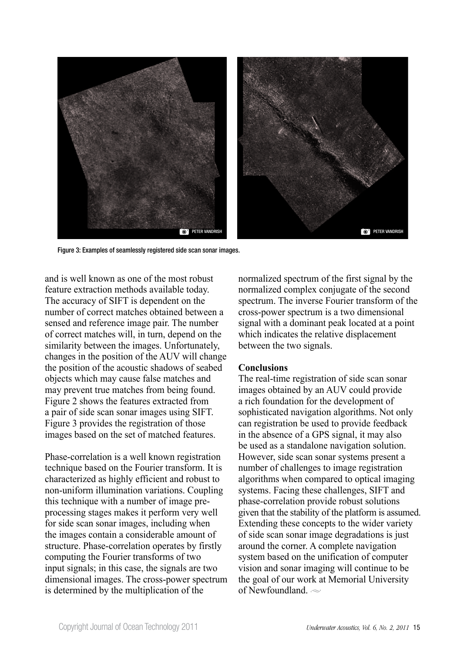

Figure 3: Examples of seamlessly registered side scan sonar images.

and is well known as one of the most robust feature extraction methods available today. The accuracy of SIFT is dependent on the number of correct matches obtained between a sensed and reference image pair. The number of correct matches will, in turn, depend on the similarity between the images. Unfortunately, changes in the position of the AUV will change the position of the acoustic shadows of seabed objects which may cause false matches and may prevent true matches from being found. Figure 2 shows the features extracted from a pair of side scan sonar images using SIFT. Figure 3 provides the registration of those images based on the set of matched features.

Phase-correlation is a well known registration technique based on the Fourier transform. It is characterized as highly efficient and robust to non-uniform illumination variations. Coupling this technique with a number of image preprocessing stages makes it perform very well for side scan sonar images, including when the images contain a considerable amount of structure. Phase-correlation operates by firstly computing the Fourier transforms of two input signals; in this case, the signals are two dimensional images. The cross-power spectrum is determined by the multiplication of the

normalized spectrum of the first signal by the normalized complex conjugate of the second spectrum. The inverse Fourier transform of the cross-power spectrum is a two dimensional signal with a dominant peak located at a point which indicates the relative displacement between the two signals.

# **Conclusions**

The real-time registration of side scan sonar images obtained by an AUV could provide a rich foundation for the development of sophisticated navigation algorithms. Not only can registration be used to provide feedback in the absence of a GPS signal, it may also be used as a standalone navigation solution. However, side scan sonar systems present a number of challenges to image registration algorithms when compared to optical imaging systems. Facing these challenges, SIFT and phase-correlation provide robust solutions given that the stability of the platform is assumed. Extending these concepts to the wider variety of side scan sonar image degradations is just around the corner. A complete navigation system based on the unification of computer vision and sonar imaging will continue to be the goal of our work at Memorial University of Newfoundland  $\sim$